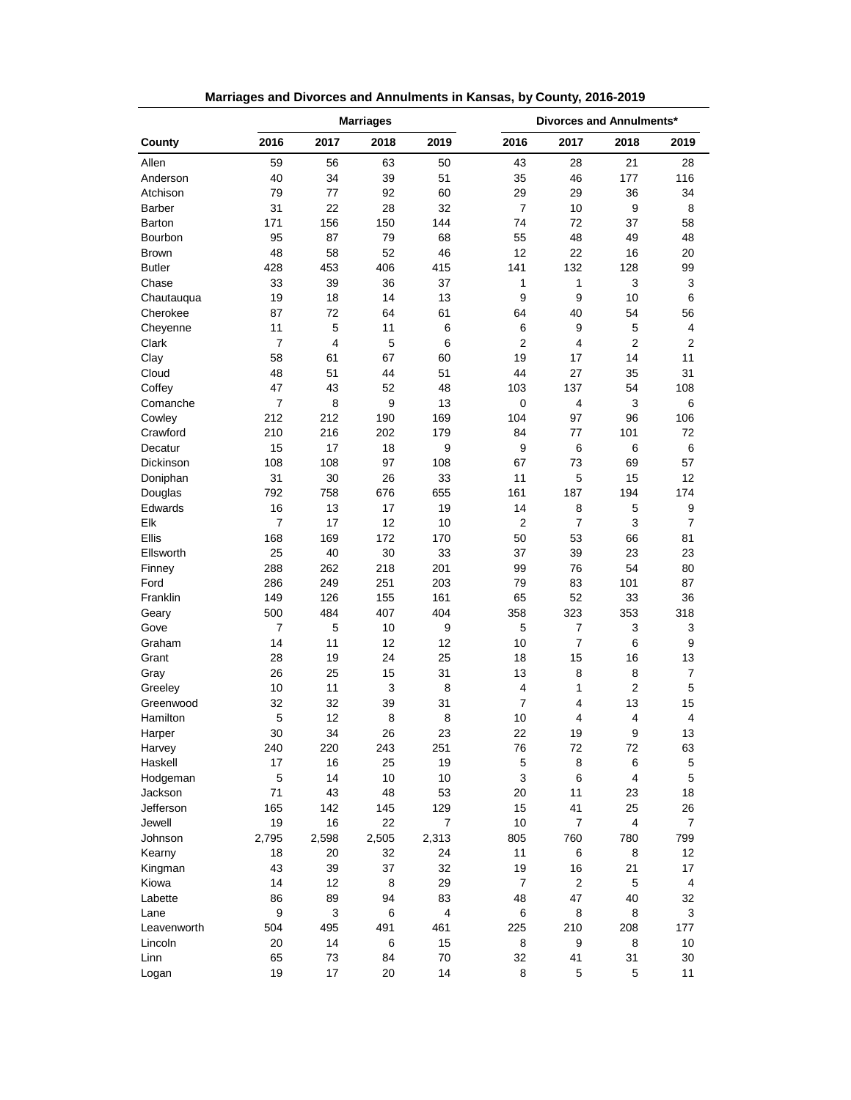|                   |                | <b>Marriages</b> |       |                  |                | Divorces and Annulments* |                |                         |  |
|-------------------|----------------|------------------|-------|------------------|----------------|--------------------------|----------------|-------------------------|--|
| County            | 2016           | 2017             | 2018  | 2019             | 2016           | 2017                     | 2018           | 2019                    |  |
| Allen             | 59             | 56               | 63    | 50               | 43             | 28                       | 21             | 28                      |  |
| Anderson          | 40             | 34               | 39    | 51               | 35             | 46                       | 177            | 116                     |  |
| Atchison          | 79             | 77               | 92    | 60               | 29             | 29                       | 36             | 34                      |  |
| <b>Barber</b>     | 31             | 22               | 28    | 32               | $\overline{7}$ | 10                       | 9              | 8                       |  |
| Barton            | 171            | 156              | 150   | 144              | 74             | 72                       | 37             | 58                      |  |
| Bourbon           | 95             | 87               | 79    | 68               | 55             | 48                       | 49             | 48                      |  |
| <b>Brown</b>      | 48             | 58               | 52    | 46               | 12             | 22                       | 16             | 20                      |  |
| <b>Butler</b>     | 428            | 453              | 406   | 415              | 141            | 132                      | 128            | 99                      |  |
| Chase             | 33             | 39               | 36    | 37               | 1              | $\mathbf{1}$             | 3              | 3                       |  |
| Chautauqua        | 19             | 18               | 14    | 13               | 9              | 9                        | 10             | 6                       |  |
| Cherokee          | 87             | 72               | 64    | 61               | 64             | 40                       | 54             | 56                      |  |
| Cheyenne          | 11             | 5                | 11    | 6                | 6              | 9                        | 5              | 4                       |  |
| Clark             | $\overline{7}$ | 4                | 5     | 6                | $\overline{2}$ | 4                        | $\overline{2}$ | $\overline{2}$          |  |
| Clay              | 58             | 61               | 67    | 60               | 19             | 17                       | 14             | 11                      |  |
| Cloud             | 48             | 51               | 44    | 51               | 44             | 27                       | 35             | 31                      |  |
| Coffey            | 47             | 43               | 52    | 48               | 103            | 137                      | 54             | 108                     |  |
| Comanche          | 7              | 8                | 9     | 13               | 0              | 4                        | 3              | 6                       |  |
| Cowley            | 212            | 212              | 190   | 169              | 104            | 97                       | 96             | 106                     |  |
| Crawford          | 210            | 216              | 202   | 179              | 84             | 77                       | 101            | 72                      |  |
| Decatur           | 15             | 17               | 18    | 9                | 9              | 6                        | 6              | 6                       |  |
| <b>Dickinson</b>  | 108            | 108              | 97    | 108              | 67             | 73                       | 69             | 57                      |  |
| Doniphan          | 31             | 30               | 26    | 33               | 11             | 5                        | 15             | 12                      |  |
| Douglas           | 792            | 758              | 676   | 655              | 161            | 187                      | 194            | 174                     |  |
| Edwards           | 16             | 13               | 17    | 19               | 14             | 8                        | 5              | 9                       |  |
| Elk               | $\overline{7}$ | 17               | 12    | 10               | 2              | $\overline{7}$           | 3              | $\overline{7}$          |  |
| Ellis             | 168            | 169              | 172   | 170              | 50             | 53                       | 66             | 81                      |  |
| Ellsworth         | 25             | 40               | 30    | 33               | 37             | 39                       | 23             | 23                      |  |
| Finney            | 288            | 262              | 218   | 201              | 99             | 76                       | 54             | 80                      |  |
| Ford              | 286            | 249              | 251   | 203              | 79             | 83                       | 101            | 87                      |  |
| Franklin          | 149            | 126              | 155   | 161              | 65             | 52                       | 33             | 36                      |  |
| Geary             | 500            | 484              | 407   | 404              | 358            | 323                      | 353            | 318                     |  |
| Gove              | 7              | 5                | 10    | 9                | 5              | 7                        | 3              | 3                       |  |
| Graham            | 14             | 11               | 12    | 12               | 10             | $\overline{7}$           | 6              | 9                       |  |
| Grant             | 28             | 19               | 24    | 25               | 18             | 15                       | 16             | 13                      |  |
| Gray              | 26             | 25               | 15    | 31               | 13             | 8                        | 8              | $\overline{7}$          |  |
| Greeley           | 10             | 11               | 3     | 8                | 4              | 1                        | $\overline{2}$ | 5                       |  |
| Greenwood         | 32             | 32               | 39    | 31               | 7              | 4                        | 13             | 15                      |  |
| Hamilton          | 5              | 12               | 8     | 8                | 10             | 4                        | 4              | 4                       |  |
|                   | 30             | 34               | 26    | 23               | 22             | 19                       | 9              | 13                      |  |
| Harper            |                |                  |       |                  |                |                          |                |                         |  |
| Harvey<br>Haskell | 240<br>17      | 220              | 243   | 251              | 76             | 72                       | 72             | 63                      |  |
|                   |                | 16<br>14         | 25    | 19               | $\mathbf 5$    | 8                        | 6<br>4         | 5<br>$\mathbf 5$        |  |
| Hodgeman          | 5              |                  | 10    | 10               | 3              | 6                        |                |                         |  |
| Jackson           | 71             | 43               | 48    | 53               | 20             | 11                       | 23             | 18                      |  |
| Jefferson         | 165            | 142              | 145   | 129              | 15             | 41                       | 25             | 26                      |  |
| Jewell            | 19             | 16               | 22    | $\boldsymbol{7}$ | 10             | $\overline{7}$           | 4              | $\overline{7}$          |  |
| Johnson           | 2,795          | 2,598            | 2,505 | 2,313            | 805            | 760                      | 780            | 799                     |  |
| Kearny            | 18             | 20               | 32    | 24               | 11             | 6                        | 8              | 12                      |  |
| Kingman           | 43             | 39               | 37    | 32               | 19             | 16                       | 21             | 17                      |  |
| Kiowa             | 14             | 12               | 8     | 29               | $\overline{7}$ | $\boldsymbol{2}$         | 5              | $\overline{\mathbf{4}}$ |  |
| Labette           | 86             | 89               | 94    | 83               | 48             | 47                       | 40             | 32                      |  |
| Lane              | 9              | 3                | 6     | 4                | 6              | 8                        | 8              | 3                       |  |
| Leavenworth       | 504            | 495              | 491   | 461              | 225            | 210                      | 208            | 177                     |  |
| Lincoln           | 20             | 14               | 6     | 15               | 8              | 9                        | 8              | 10                      |  |
| Linn              | 65             | 73               | 84    | 70               | 32             | 41                       | 31             | 30                      |  |
| Logan             | 19             | 17               | 20    | 14               | 8              | 5                        | 5              | 11                      |  |

**Marriages and Divorces and Annulments in Kansas, by County, 2016-2019**